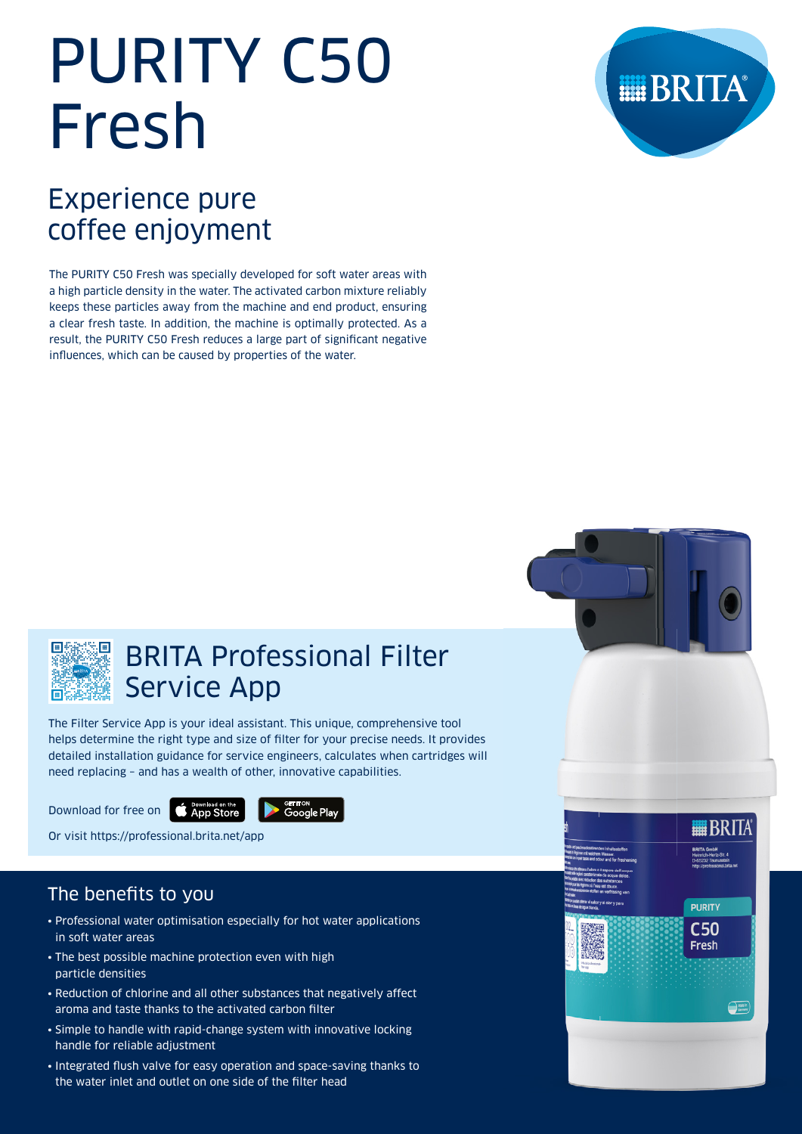# PURITY C50 Fresh



## Experience pure coffee enjoyment

The PURITY C50 Fresh was specially developed for soft water areas with a high particle density in the water. The activated carbon mixture reliably keeps these particles away from the machine and end product, ensuring a clear fresh taste. In addition, the machine is optimally protected. As a result, the PURITY C50 Fresh reduces a large part of significant negative influences, which can be caused by properties of the water.



## BRITA Professional Filter Service App

The Filter Service App is your ideal assistant. This unique, comprehensive tool helps determine the right type and size of filter for your precise needs. It provides detailed installation guidance for service engineers, calculates when cartridges will need replacing – and has a wealth of other, innovative capabilities.

Download for free on **CAPD Store** 



Or visit https://professional.brita.net/app

## The benefits to you

- Professional water optimisation especially for hot water applications in soft water areas
- The best possible machine protection even with high particle densities
- Reduction of chlorine and all other substances that negatively affect aroma and taste thanks to the activated carbon filter
- Simple to handle with rapid-change system with innovative locking handle for reliable adjustment
- Integrated flush valve for easy operation and space-saving thanks to the water inlet and outlet on one side of the filter head